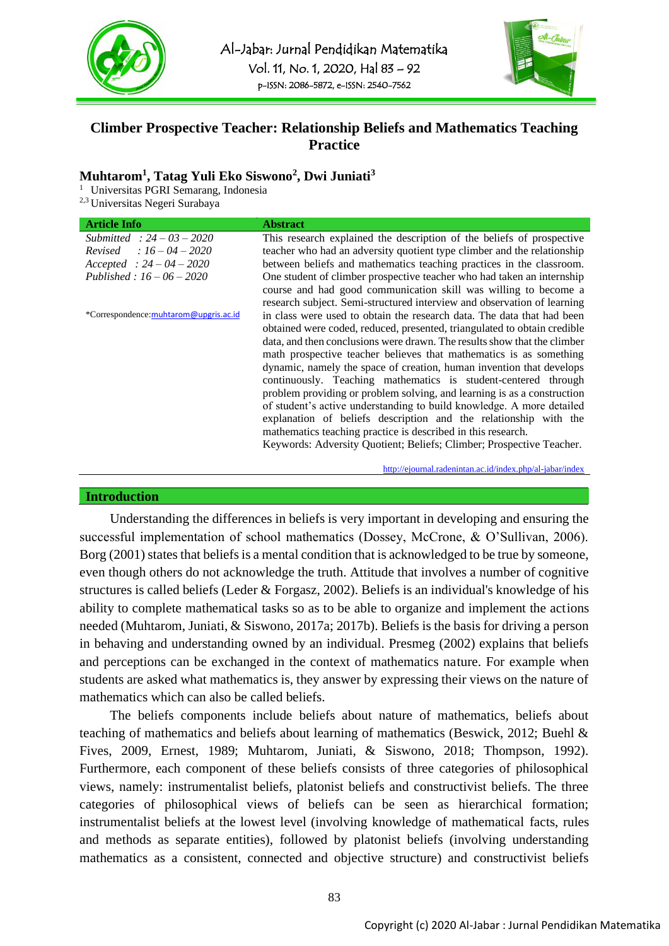



# **Climber Prospective Teacher: Relationship Beliefs and Mathematics Teaching Practice**

## **Muhtarom<sup>1</sup> , Tatag Yuli Eko Siswono<sup>2</sup> , Dwi Juniati<sup>3</sup>**

1 Universitas PGRI Semarang, Indonesia

2,3 Universitas Negeri Surabaya

| <b>Article Info</b>                   | <b>Abstract</b>                                                          |  |  |  |
|---------------------------------------|--------------------------------------------------------------------------|--|--|--|
| Submitted: $24 - 03 - 2020$           | This research explained the description of the beliefs of prospective    |  |  |  |
| <i>Revised</i> : $16 - 04 - 2020$     | teacher who had an adversity quotient type climber and the relationship  |  |  |  |
| $Accepted : 24 - 04 - 2020$           | between beliefs and mathematics teaching practices in the classroom.     |  |  |  |
| Published: $16 - 06 - 2020$           | One student of climber prospective teacher who had taken an internship   |  |  |  |
|                                       | course and had good communication skill was willing to become a          |  |  |  |
|                                       | research subject. Semi-structured interview and observation of learning  |  |  |  |
| *Correspondence:muhtarom@upgris.ac.id | in class were used to obtain the research data. The data that had been   |  |  |  |
|                                       | obtained were coded, reduced, presented, triangulated to obtain credible |  |  |  |
|                                       | data, and then conclusions were drawn. The results show that the climber |  |  |  |
|                                       | math prospective teacher believes that mathematics is as something       |  |  |  |
|                                       | dynamic, namely the space of creation, human invention that develops     |  |  |  |
|                                       | continuously. Teaching mathematics is student-centered through           |  |  |  |
|                                       | problem providing or problem solving, and learning is as a construction  |  |  |  |
|                                       | of student's active understanding to build knowledge. A more detailed    |  |  |  |
|                                       | explanation of beliefs description and the relationship with the         |  |  |  |
|                                       | mathematics teaching practice is described in this research.             |  |  |  |
|                                       | Keywords: Adversity Quotient; Beliefs; Climber; Prospective Teacher.     |  |  |  |

<http://ejournal.radenintan.ac.id/index.php/al-jabar/index>

#### **Introduction**

Understanding the differences in beliefs is very important in developing and ensuring the successful implementation of school mathematics (Dossey, McCrone, & O'Sullivan, 2006). Borg (2001) states that beliefs is a mental condition that is acknowledged to be true by someone, even though others do not acknowledge the truth. Attitude that involves a number of cognitive structures is called beliefs (Leder & Forgasz, 2002). Beliefs is an individual's knowledge of his ability to complete mathematical tasks so as to be able to organize and implement the actions needed (Muhtarom, Juniati, & Siswono, 2017a; 2017b). Beliefs is the basis for driving a person in behaving and understanding owned by an individual. Presmeg (2002) explains that beliefs and perceptions can be exchanged in the context of mathematics nature. For example when students are asked what mathematics is, they answer by expressing their views on the nature of mathematics which can also be called beliefs.

The beliefs components include beliefs about nature of mathematics, beliefs about teaching of mathematics and beliefs about learning of mathematics (Beswick, 2012; Buehl & Fives, 2009, Ernest, 1989; Muhtarom, Juniati, & Siswono, 2018; Thompson, 1992). Furthermore, each component of these beliefs consists of three categories of philosophical views, namely: instrumentalist beliefs, platonist beliefs and constructivist beliefs. The three categories of philosophical views of beliefs can be seen as hierarchical formation; instrumentalist beliefs at the lowest level (involving knowledge of mathematical facts, rules and methods as separate entities), followed by platonist beliefs (involving understanding mathematics as a consistent, connected and objective structure) and constructivist beliefs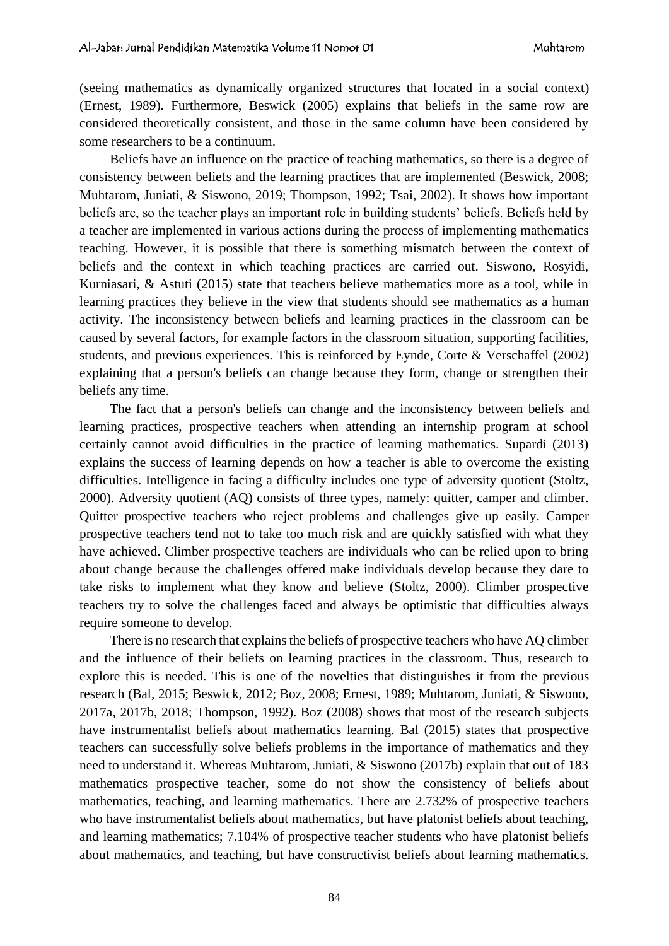(seeing mathematics as dynamically organized structures that located in a social context) (Ernest, 1989). Furthermore, Beswick (2005) explains that beliefs in the same row are considered theoretically consistent, and those in the same column have been considered by some researchers to be a continuum.

Beliefs have an influence on the practice of teaching mathematics, so there is a degree of consistency between beliefs and the learning practices that are implemented (Beswick, 2008; Muhtarom, Juniati, & Siswono, 2019; Thompson, 1992; Tsai, 2002). It shows how important beliefs are, so the teacher plays an important role in building students' beliefs. Beliefs held by a teacher are implemented in various actions during the process of implementing mathematics teaching. However, it is possible that there is something mismatch between the context of beliefs and the context in which teaching practices are carried out. Siswono, Rosyidi, Kurniasari, & Astuti (2015) state that teachers believe mathematics more as a tool, while in learning practices they believe in the view that students should see mathematics as a human activity. The inconsistency between beliefs and learning practices in the classroom can be caused by several factors, for example factors in the classroom situation, supporting facilities, students, and previous experiences. This is reinforced by Eynde, Corte & Verschaffel (2002) explaining that a person's beliefs can change because they form, change or strengthen their beliefs any time.

The fact that a person's beliefs can change and the inconsistency between beliefs and learning practices, prospective teachers when attending an internship program at school certainly cannot avoid difficulties in the practice of learning mathematics. Supardi (2013) explains the success of learning depends on how a teacher is able to overcome the existing difficulties. Intelligence in facing a difficulty includes one type of adversity quotient (Stoltz, 2000). Adversity quotient (AQ) consists of three types, namely: quitter, camper and climber. Quitter prospective teachers who reject problems and challenges give up easily. Camper prospective teachers tend not to take too much risk and are quickly satisfied with what they have achieved. Climber prospective teachers are individuals who can be relied upon to bring about change because the challenges offered make individuals develop because they dare to take risks to implement what they know and believe (Stoltz, 2000). Climber prospective teachers try to solve the challenges faced and always be optimistic that difficulties always require someone to develop.

There is no research that explains the beliefs of prospective teachers who have AQ climber and the influence of their beliefs on learning practices in the classroom. Thus, research to explore this is needed. This is one of the novelties that distinguishes it from the previous research (Bal, 2015; Beswick, 2012; Boz, 2008; Ernest, 1989; Muhtarom, Juniati, & Siswono, 2017a, 2017b, 2018; Thompson, 1992). Boz (2008) shows that most of the research subjects have instrumentalist beliefs about mathematics learning. Bal (2015) states that prospective teachers can successfully solve beliefs problems in the importance of mathematics and they need to understand it. Whereas Muhtarom, Juniati, & Siswono (2017b) explain that out of 183 mathematics prospective teacher, some do not show the consistency of beliefs about mathematics, teaching, and learning mathematics. There are 2.732% of prospective teachers who have instrumentalist beliefs about mathematics, but have platonist beliefs about teaching, and learning mathematics; 7.104% of prospective teacher students who have platonist beliefs about mathematics, and teaching, but have constructivist beliefs about learning mathematics.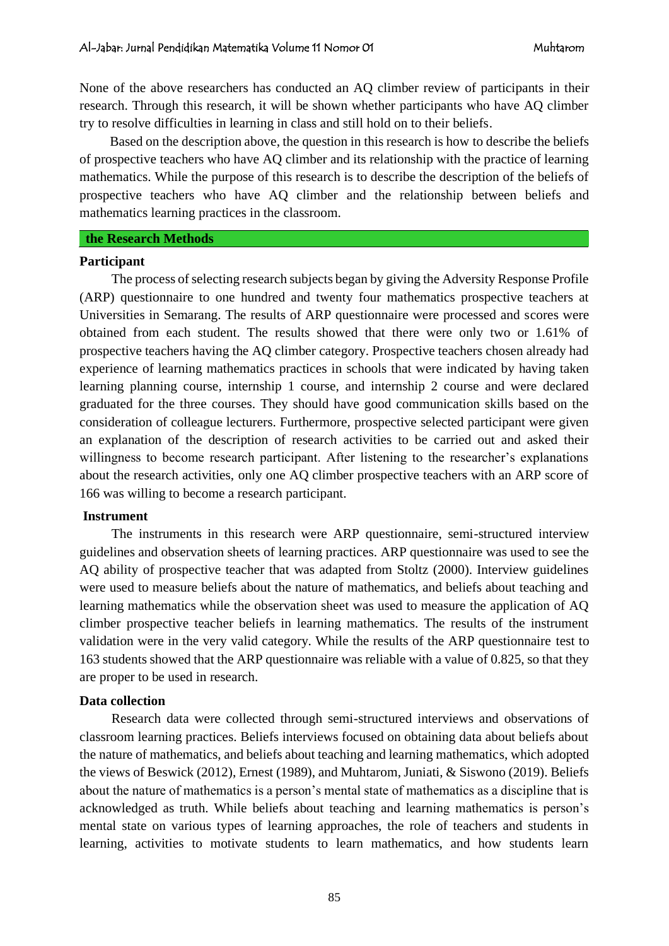None of the above researchers has conducted an AQ climber review of participants in their research. Through this research, it will be shown whether participants who have AQ climber try to resolve difficulties in learning in class and still hold on to their beliefs.

Based on the description above, the question in this research is how to describe the beliefs of prospective teachers who have AQ climber and its relationship with the practice of learning mathematics. While the purpose of this research is to describe the description of the beliefs of prospective teachers who have AQ climber and the relationship between beliefs and mathematics learning practices in the classroom.

# **the Research Methods**

#### **Participant**

The process of selecting research subjects began by giving the Adversity Response Profile (ARP) questionnaire to one hundred and twenty four mathematics prospective teachers at Universities in Semarang. The results of ARP questionnaire were processed and scores were obtained from each student. The results showed that there were only two or 1.61% of prospective teachers having the AQ climber category. Prospective teachers chosen already had experience of learning mathematics practices in schools that were indicated by having taken learning planning course, internship 1 course, and internship 2 course and were declared graduated for the three courses. They should have good communication skills based on the consideration of colleague lecturers. Furthermore, prospective selected participant were given an explanation of the description of research activities to be carried out and asked their willingness to become research participant. After listening to the researcher's explanations about the research activities, only one AQ climber prospective teachers with an ARP score of 166 was willing to become a research participant.

### **Instrument**

The instruments in this research were ARP questionnaire, semi-structured interview guidelines and observation sheets of learning practices. ARP questionnaire was used to see the AQ ability of prospective teacher that was adapted from Stoltz (2000). Interview guidelines were used to measure beliefs about the nature of mathematics, and beliefs about teaching and learning mathematics while the observation sheet was used to measure the application of AQ climber prospective teacher beliefs in learning mathematics. The results of the instrument validation were in the very valid category. While the results of the ARP questionnaire test to 163 students showed that the ARP questionnaire was reliable with a value of 0.825, so that they are proper to be used in research.

#### **Data collection**

Research data were collected through semi-structured interviews and observations of classroom learning practices. Beliefs interviews focused on obtaining data about beliefs about the nature of mathematics, and beliefs about teaching and learning mathematics, which adopted the views of Beswick (2012), Ernest (1989), and Muhtarom, Juniati, & Siswono (2019). Beliefs about the nature of mathematics is a person's mental state of mathematics as a discipline that is acknowledged as truth. While beliefs about teaching and learning mathematics is person's mental state on various types of learning approaches, the role of teachers and students in learning, activities to motivate students to learn mathematics, and how students learn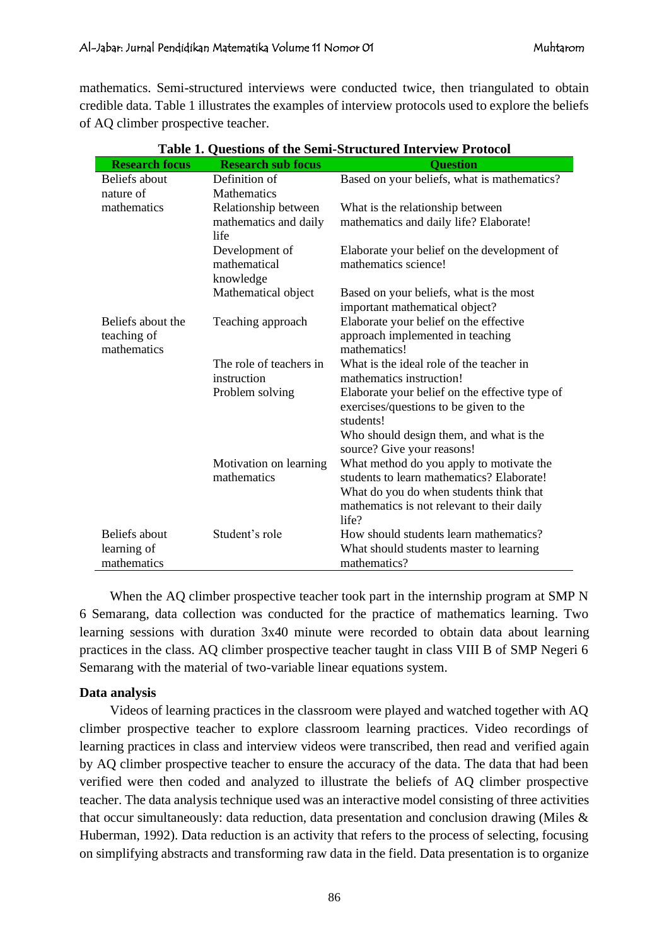mathematics. Semi-structured interviews were conducted twice, then triangulated to obtain credible data. Table 1 illustrates the examples of interview protocols used to explore the beliefs of AQ climber prospective teacher.

| <b>Research focus</b>            | <b>Research sub focus</b>      | <b>Ouestion</b>                                                            |  |  |
|----------------------------------|--------------------------------|----------------------------------------------------------------------------|--|--|
| Beliefs about                    | Definition of                  | Based on your beliefs, what is mathematics?                                |  |  |
| nature of                        | <b>Mathematics</b>             |                                                                            |  |  |
| mathematics                      | Relationship between           | What is the relationship between                                           |  |  |
|                                  | mathematics and daily<br>life  | mathematics and daily life? Elaborate!                                     |  |  |
|                                  | Development of<br>mathematical | Elaborate your belief on the development of<br>mathematics science!        |  |  |
|                                  | knowledge                      |                                                                            |  |  |
|                                  | Mathematical object            | Based on your beliefs, what is the most<br>important mathematical object?  |  |  |
| Beliefs about the<br>teaching of | Teaching approach              | Elaborate your belief on the effective<br>approach implemented in teaching |  |  |
| mathematics                      |                                | mathematics!                                                               |  |  |
|                                  | The role of teachers in        | What is the ideal role of the teacher in                                   |  |  |
|                                  | instruction                    | mathematics instruction!                                                   |  |  |
|                                  | Problem solving                | Elaborate your belief on the effective type of                             |  |  |
|                                  |                                | exercises/questions to be given to the<br>students!                        |  |  |
|                                  |                                | Who should design them, and what is the<br>source? Give your reasons!      |  |  |
|                                  | Motivation on learning         | What method do you apply to motivate the                                   |  |  |
|                                  | mathematics                    | students to learn mathematics? Elaborate!                                  |  |  |
|                                  |                                | What do you do when students think that                                    |  |  |
|                                  |                                | mathematics is not relevant to their daily                                 |  |  |
|                                  |                                | life?                                                                      |  |  |
| Beliefs about                    | Student's role                 | How should students learn mathematics?                                     |  |  |
| learning of                      |                                | What should students master to learning                                    |  |  |
| mathematics                      |                                | mathematics?                                                               |  |  |

|  | Table 1. Questions of the Semi-Structured Interview Protocol |  |
|--|--------------------------------------------------------------|--|
|  |                                                              |  |

When the AQ climber prospective teacher took part in the internship program at SMP N 6 Semarang, data collection was conducted for the practice of mathematics learning. Two learning sessions with duration 3x40 minute were recorded to obtain data about learning practices in the class. AQ climber prospective teacher taught in class VIII B of SMP Negeri 6 Semarang with the material of two-variable linear equations system.

### **Data analysis**

Videos of learning practices in the classroom were played and watched together with AQ climber prospective teacher to explore classroom learning practices. Video recordings of learning practices in class and interview videos were transcribed, then read and verified again by AQ climber prospective teacher to ensure the accuracy of the data. The data that had been verified were then coded and analyzed to illustrate the beliefs of AQ climber prospective teacher. The data analysis technique used was an interactive model consisting of three activities that occur simultaneously: data reduction, data presentation and conclusion drawing (Miles & Huberman, 1992). Data reduction is an activity that refers to the process of selecting, focusing on simplifying abstracts and transforming raw data in the field. Data presentation is to organize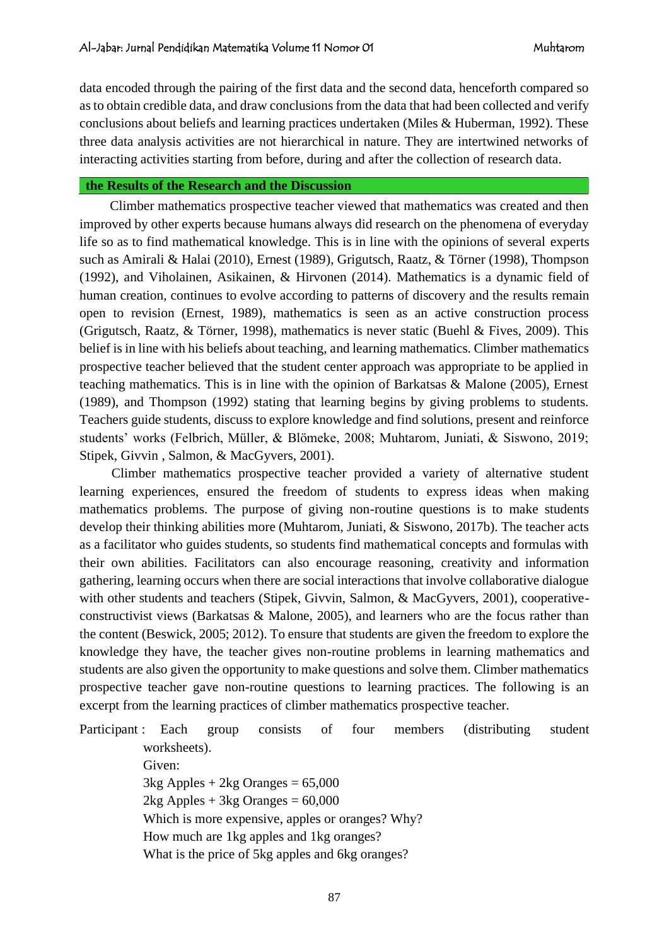data encoded through the pairing of the first data and the second data, henceforth compared so as to obtain credible data, and draw conclusions from the data that had been collected and verify conclusions about beliefs and learning practices undertaken (Miles & Huberman, 1992). These three data analysis activities are not hierarchical in nature. They are intertwined networks of interacting activities starting from before, during and after the collection of research data.

### **the Results of the Research and the Discussion**

Climber mathematics prospective teacher viewed that mathematics was created and then improved by other experts because humans always did research on the phenomena of everyday life so as to find mathematical knowledge. This is in line with the opinions of several experts such as Amirali & Halai (2010), Ernest (1989), Grigutsch, Raatz, & Törner (1998), Thompson (1992), and Viholainen, Asikainen, & Hirvonen (2014). Mathematics is a dynamic field of human creation, continues to evolve according to patterns of discovery and the results remain open to revision (Ernest, 1989), mathematics is seen as an active construction process (Grigutsch, Raatz, & Törner, 1998), mathematics is never static (Buehl & Fives, 2009). This belief is in line with his beliefs about teaching, and learning mathematics. Climber mathematics prospective teacher believed that the student center approach was appropriate to be applied in teaching mathematics. This is in line with the opinion of Barkatsas & Malone (2005), Ernest (1989), and Thompson (1992) stating that learning begins by giving problems to students. Teachers guide students, discuss to explore knowledge and find solutions, present and reinforce students' works (Felbrich, Müller, & Blömeke, 2008; Muhtarom, Juniati, & Siswono, 2019; Stipek, Givvin , Salmon, & MacGyvers, 2001).

Climber mathematics prospective teacher provided a variety of alternative student learning experiences, ensured the freedom of students to express ideas when making mathematics problems. The purpose of giving non-routine questions is to make students develop their thinking abilities more (Muhtarom, Juniati, & Siswono, 2017b). The teacher acts as a facilitator who guides students, so students find mathematical concepts and formulas with their own abilities. Facilitators can also encourage reasoning, creativity and information gathering, learning occurs when there are social interactions that involve collaborative dialogue with other students and teachers (Stipek, Givvin, Salmon, & MacGyvers, 2001), cooperativeconstructivist views (Barkatsas & Malone, 2005), and learners who are the focus rather than the content (Beswick, 2005; 2012). To ensure that students are given the freedom to explore the knowledge they have, the teacher gives non-routine problems in learning mathematics and students are also given the opportunity to make questions and solve them. Climber mathematics prospective teacher gave non-routine questions to learning practices. The following is an excerpt from the learning practices of climber mathematics prospective teacher.

Participant : Each group consists of four members (distributing student worksheets). Given:  $3kg$  Apples + 2kg Oranges = 65,000  $2kg$  Apples +  $3kg$  Oranges = 60,000 Which is more expensive, apples or oranges? Why? How much are 1kg apples and 1kg oranges? What is the price of 5kg apples and 6kg oranges?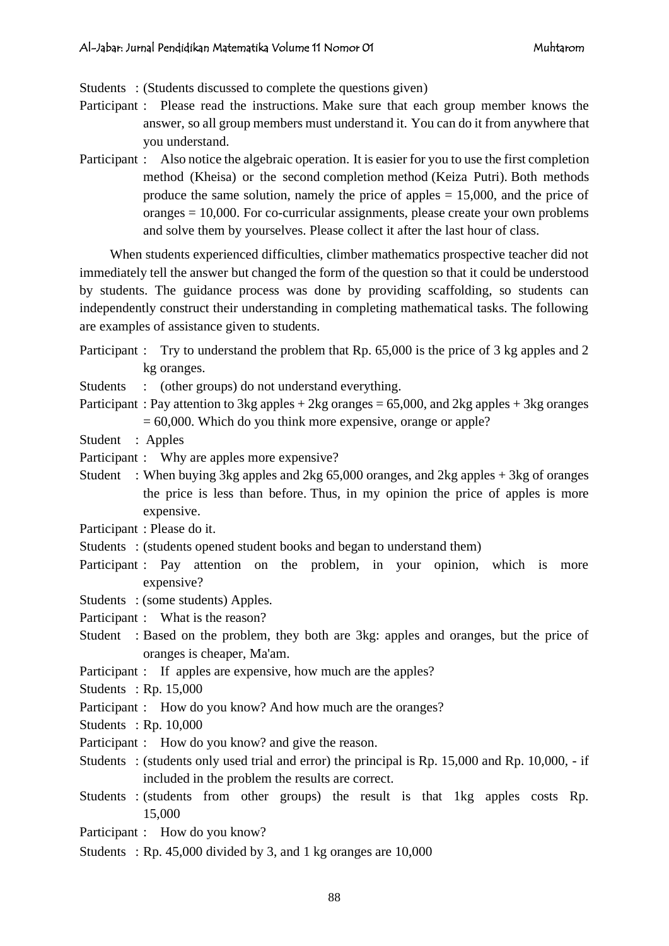Students : (Students discussed to complete the questions given)

- Participant : Please read the instructions. Make sure that each group member knows the answer, so all group members must understand it. You can do it from anywhere that you understand.
- Participant : Also notice the algebraic operation. It is easier for you to use the first completion method (Kheisa) or the second completion method (Keiza Putri). Both methods produce the same solution, namely the price of apples = 15,000, and the price of oranges = 10,000. For co-curricular assignments, please create your own problems and solve them by yourselves. Please collect it after the last hour of class.

When students experienced difficulties, climber mathematics prospective teacher did not immediately tell the answer but changed the form of the question so that it could be understood by students. The guidance process was done by providing scaffolding, so students can independently construct their understanding in completing mathematical tasks. The following are examples of assistance given to students.

- Participant : Try to understand the problem that Rp. 65,000 is the price of 3 kg apples and 2 kg oranges.
- Students : (other groups) do not understand everything.
- Participant : Pay attention to 3kg apples + 2kg oranges =  $65,000$ , and 2kg apples + 3kg oranges  $= 60,000$ . Which do you think more expensive, orange or apple?
- Student : Apples
- Participant : Why are apples more expensive?
- Student : When buying 3kg apples and 2kg 65,000 oranges, and 2kg apples + 3kg of oranges the price is less than before. Thus, in my opinion the price of apples is more expensive.
- Participant : Please do it.
- Students : (students opened student books and began to understand them)
- Participant : Pay attention on the problem, in your opinion, which is more expensive?
- Students : (some students) Apples.

Participant : What is the reason?

- Student : Based on the problem, they both are 3kg: apples and oranges, but the price of oranges is cheaper, Ma'am.
- Participant : If apples are expensive, how much are the apples?

Students : Rp. 15,000

- Participant : How do you know? And how much are the oranges?
- Students : Rp. 10,000
- Participant : How do you know? and give the reason.
- Students : (students only used trial and error) the principal is Rp. 15,000 and Rp. 10,000, if included in the problem the results are correct.
- Students : (students from other groups) the result is that 1kg apples costs Rp. 15,000
- Participant : How do you know?
- Students : Rp. 45,000 divided by 3, and 1 kg oranges are 10,000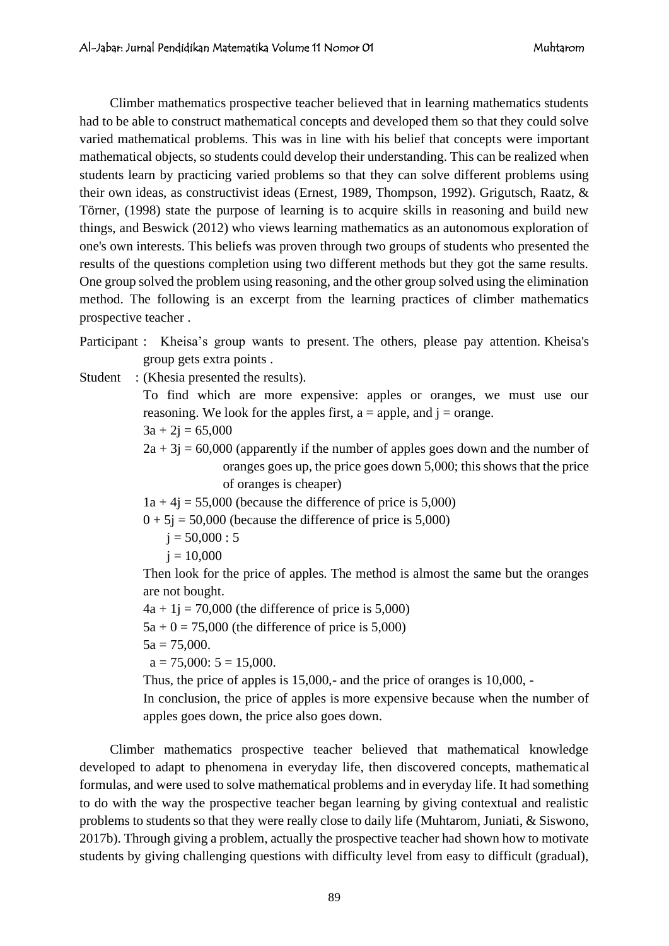Climber mathematics prospective teacher believed that in learning mathematics students had to be able to construct mathematical concepts and developed them so that they could solve varied mathematical problems. This was in line with his belief that concepts were important mathematical objects, so students could develop their understanding. This can be realized when students learn by practicing varied problems so that they can solve different problems using their own ideas, as constructivist ideas (Ernest, 1989, Thompson, 1992). Grigutsch, Raatz, & Törner, (1998) state the purpose of learning is to acquire skills in reasoning and build new things, and Beswick (2012) who views learning mathematics as an autonomous exploration of one's own interests. This beliefs was proven through two groups of students who presented the results of the questions completion using two different methods but they got the same results. One group solved the problem using reasoning, and the other group solved using the elimination method. The following is an excerpt from the learning practices of climber mathematics prospective teacher .

Participant : Kheisa's group wants to present. The others, please pay attention. Kheisa's group gets extra points .

Student : (Khesia presented the results).

To find which are more expensive: apples or oranges, we must use our reasoning. We look for the apples first,  $a =$  apple, and  $i =$  orange.

$$
3a + 2j = 65,000
$$

 $2a + 3j = 60,000$  (apparently if the number of apples goes down and the number of oranges goes up, the price goes down 5,000; this shows that the price of oranges is cheaper)

 $1a + 4i = 55,000$  (because the difference of price is 5,000)

 $0 + 5j = 50,000$  (because the difference of price is 5,000)

$$
j = 50,000 : 5
$$

 $j = 10,000$ 

Then look for the price of apples. The method is almost the same but the oranges are not bought.

 $4a + 1i = 70,000$  (the difference of price is 5,000)

 $5a + 0 = 75,000$  (the difference of price is 5,000)

 $5a = 75,000$ .

 $a = 75,000$ :  $5 = 15,000$ .

Thus, the price of apples is 15,000,- and the price of oranges is 10,000, -

In conclusion, the price of apples is more expensive because when the number of apples goes down, the price also goes down.

Climber mathematics prospective teacher believed that mathematical knowledge developed to adapt to phenomena in everyday life, then discovered concepts, mathematical formulas, and were used to solve mathematical problems and in everyday life. It had something to do with the way the prospective teacher began learning by giving contextual and realistic problems to students so that they were really close to daily life (Muhtarom, Juniati, & Siswono, 2017b). Through giving a problem, actually the prospective teacher had shown how to motivate students by giving challenging questions with difficulty level from easy to difficult (gradual),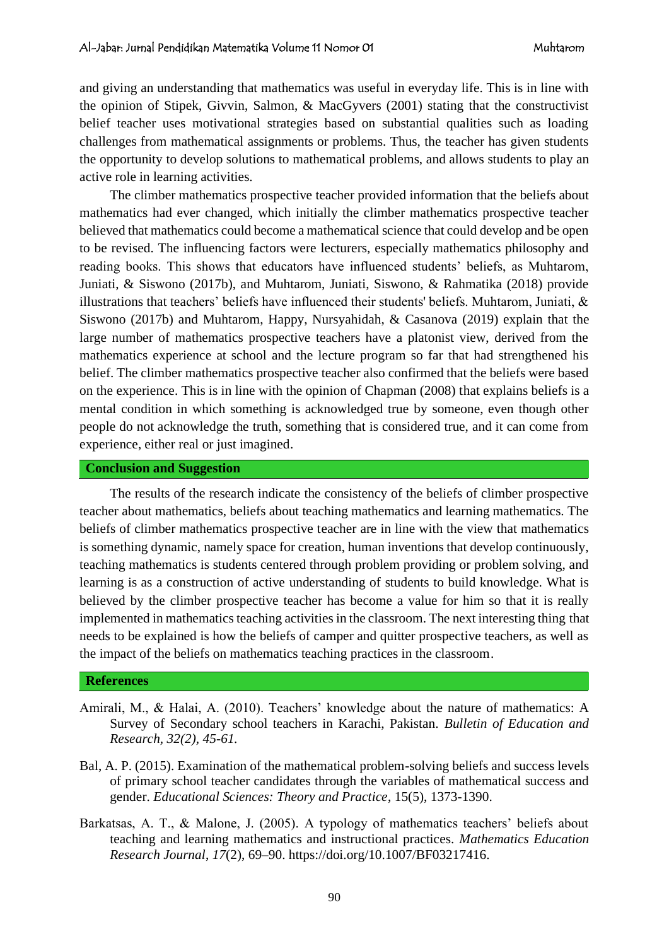and giving an understanding that mathematics was useful in everyday life. This is in line with the opinion of Stipek, Givvin, Salmon, & MacGyvers (2001) stating that the constructivist belief teacher uses motivational strategies based on substantial qualities such as loading challenges from mathematical assignments or problems. Thus, the teacher has given students the opportunity to develop solutions to mathematical problems, and allows students to play an active role in learning activities.

The climber mathematics prospective teacher provided information that the beliefs about mathematics had ever changed, which initially the climber mathematics prospective teacher believed that mathematics could become a mathematical science that could develop and be open to be revised. The influencing factors were lecturers, especially mathematics philosophy and reading books. This shows that educators have influenced students' beliefs, as Muhtarom, Juniati, & Siswono (2017b), and Muhtarom, Juniati, Siswono, & Rahmatika (2018) provide illustrations that teachers' beliefs have influenced their students' beliefs. Muhtarom, Juniati, & Siswono (2017b) and Muhtarom, Happy, Nursyahidah, & Casanova (2019) explain that the large number of mathematics prospective teachers have a platonist view, derived from the mathematics experience at school and the lecture program so far that had strengthened his belief. The climber mathematics prospective teacher also confirmed that the beliefs were based on the experience. This is in line with the opinion of Chapman (2008) that explains beliefs is a mental condition in which something is acknowledged true by someone, even though other people do not acknowledge the truth, something that is considered true, and it can come from experience, either real or just imagined.

#### **Conclusion and Suggestion**

The results of the research indicate the consistency of the beliefs of climber prospective teacher about mathematics, beliefs about teaching mathematics and learning mathematics. The beliefs of climber mathematics prospective teacher are in line with the view that mathematics is something dynamic, namely space for creation, human inventions that develop continuously, teaching mathematics is students centered through problem providing or problem solving, and learning is as a construction of active understanding of students to build knowledge. What is believed by the climber prospective teacher has become a value for him so that it is really implemented in mathematics teaching activities in the classroom. The next interesting thing that needs to be explained is how the beliefs of camper and quitter prospective teachers, as well as the impact of the beliefs on mathematics teaching practices in the classroom.

#### **References**

- Amirali, M., & Halai, A. (2010). Teachers' knowledge about the nature of mathematics: A Survey of Secondary school teachers in Karachi, Pakistan. *Bulletin of Education and Research, 32(2), 45-61.*
- Bal, A. P. (2015). Examination of the mathematical problem-solving beliefs and success levels of primary school teacher candidates through the variables of mathematical success and gender. *Educational Sciences: Theory and Practice*, 15(5), 1373-1390.
- Barkatsas, A. T., & Malone, J. (2005). A typology of mathematics teachers' beliefs about teaching and learning mathematics and instructional practices. *Mathematics Education Research Journal*, *17*(2), 69–90. https://doi.org/10.1007/BF03217416.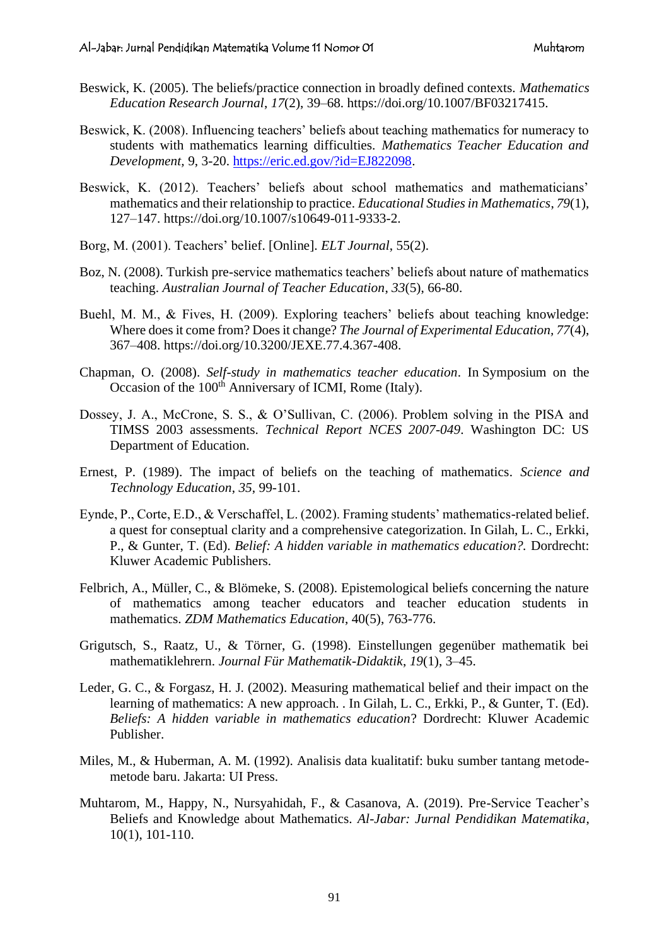- Beswick, K. (2005). The beliefs/practice connection in broadly defined contexts. *Mathematics Education Research Journal*, *17*(2), 39–68. https://doi.org/10.1007/BF03217415.
- Beswick, K. (2008). Influencing teachers' beliefs about teaching mathematics for numeracy to students with mathematics learning difficulties. *Mathematics Teacher Education and Development,* 9, 3-20. [https://eric.ed.gov/?id=EJ822098.](https://eric.ed.gov/?id=EJ822098)
- Beswick, K. (2012). Teachers' beliefs about school mathematics and mathematicians' mathematics and their relationship to practice. *Educational Studies in Mathematics*, *79*(1), 127–147. https://doi.org/10.1007/s10649-011-9333-2.
- Borg, M. (2001). Teachers' belief. [Online]. *ELT Journal*, 55(2).
- Boz, N. (2008). Turkish pre-service mathematics teachers' beliefs about nature of mathematics teaching. *Australian Journal of Teacher Education*, *33*(5), 66-80.
- Buehl, M. M., & Fives, H. (2009). Exploring teachers' beliefs about teaching knowledge: Where does it come from? Does it change? *The Journal of Experimental Education, 77*(4), 367–408. https://doi.org/10.3200/JEXE.77.4.367-408.
- Chapman, O. (2008). *Self-study in mathematics teacher education*. In Symposium on the Occasion of the 100<sup>th</sup> Anniversary of ICMI, Rome (Italy).
- Dossey, J. A., McCrone, S. S., & O'Sullivan, C. (2006). Problem solving in the PISA and TIMSS 2003 assessments. *Technical Report NCES 2007-049*. Washington DC: US Department of Education.
- Ernest, P. (1989). The impact of beliefs on the teaching of mathematics*. Science and Technology Education*, *35*, 99-101.
- Eynde, P., Corte, E.D., & Verschaffel, L. (2002). Framing students' mathematics-related belief. a quest for conseptual clarity and a comprehensive categorization. In Gilah, L. C., Erkki, P., & Gunter, T. (Ed). *Belief: A hidden variable in mathematics education?.* Dordrecht: Kluwer Academic Publishers.
- Felbrich, A., Müller, C., & Blömeke, S. (2008). Epistemological beliefs concerning the nature of mathematics among teacher educators and teacher education students in mathematics. *ZDM Mathematics Education*, 40(5), 763-776.
- Grigutsch, S., Raatz, U., & Törner, G. (1998). Einstellungen gegenüber mathematik bei mathematiklehrern. *Journal Für Mathematik-Didaktik*, *19*(1), 3–45.
- Leder, G. C., & Forgasz, H. J. (2002). Measuring mathematical belief and their impact on the learning of mathematics: A new approach. . In Gilah, L. C., Erkki, P., & Gunter, T. (Ed). *Beliefs: A hidden variable in mathematics education*? Dordrecht: Kluwer Academic Publisher.
- Miles, M., & Huberman, A. M. (1992). Analisis data kualitatif: buku sumber tantang metodemetode baru. Jakarta: UI Press.
- Muhtarom, M., Happy, N., Nursyahidah, F., & Casanova, A. (2019). Pre-Service Teacher's Beliefs and Knowledge about Mathematics. *Al-Jabar: Jurnal Pendidikan Matematika*, 10(1), 101-110.